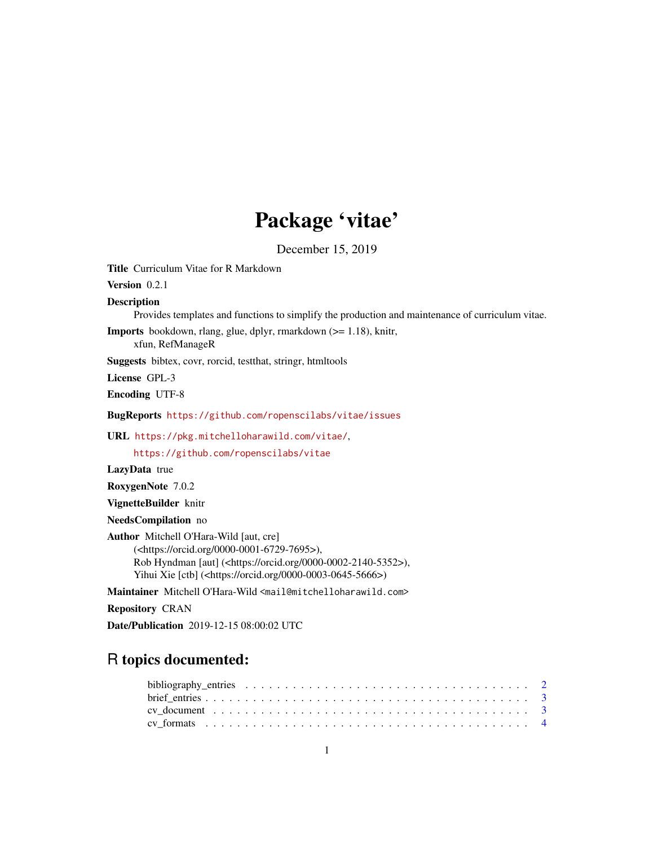## Package 'vitae'

December 15, 2019

<span id="page-0-0"></span>Title Curriculum Vitae for R Markdown Version 0.2.1 Description Provides templates and functions to simplify the production and maintenance of curriculum vitae. Imports bookdown, rlang, glue, dplyr, rmarkdown (>= 1.18), knitr, xfun, RefManageR Suggests bibtex, covr, rorcid, testthat, stringr, htmltools License GPL-3 Encoding UTF-8 BugReports <https://github.com/ropenscilabs/vitae/issues> URL <https://pkg.mitchelloharawild.com/vitae/>, <https://github.com/ropenscilabs/vitae> LazyData true RoxygenNote 7.0.2 VignetteBuilder knitr NeedsCompilation no Author Mitchell O'Hara-Wild [aut, cre] (<https://orcid.org/0000-0001-6729-7695>), Rob Hyndman [aut] (<https://orcid.org/0000-0002-2140-5352>), Yihui Xie [ctb] (<https://orcid.org/0000-0003-0645-5666>) Maintainer Mitchell O'Hara-Wild <mail@mitchelloharawild.com>

Repository CRAN

Date/Publication 2019-12-15 08:00:02 UTC

### R topics documented: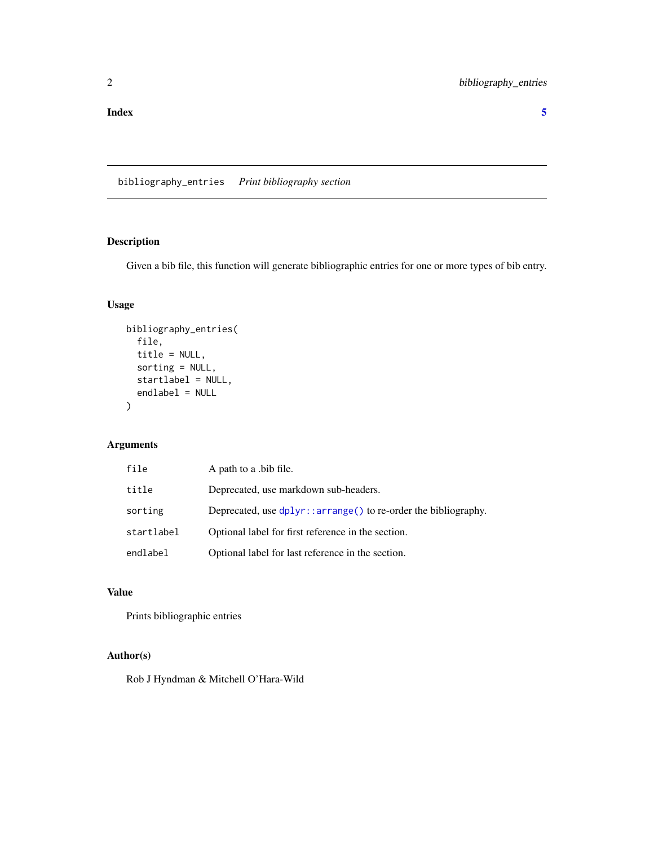<span id="page-1-0"></span>

bibliography\_entries *Print bibliography section*

#### Description

Given a bib file, this function will generate bibliographic entries for one or more types of bib entry.

#### Usage

```
bibliography_entries(
  file,
  title = NULL,
  sorting = NULL,
  startlabel = NULL,
  endlabel = NULL
\overline{\phantom{a}}
```
#### Arguments

| file       | A path to a bib file.                                             |
|------------|-------------------------------------------------------------------|
| title      | Deprecated, use markdown sub-headers.                             |
| sorting    | Deprecated, use $dplyr$ : arrange() to re-order the bibliography. |
| startlabel | Optional label for first reference in the section.                |
| endlabel   | Optional label for last reference in the section.                 |

#### Value

Prints bibliographic entries

#### Author(s)

Rob J Hyndman & Mitchell O'Hara-Wild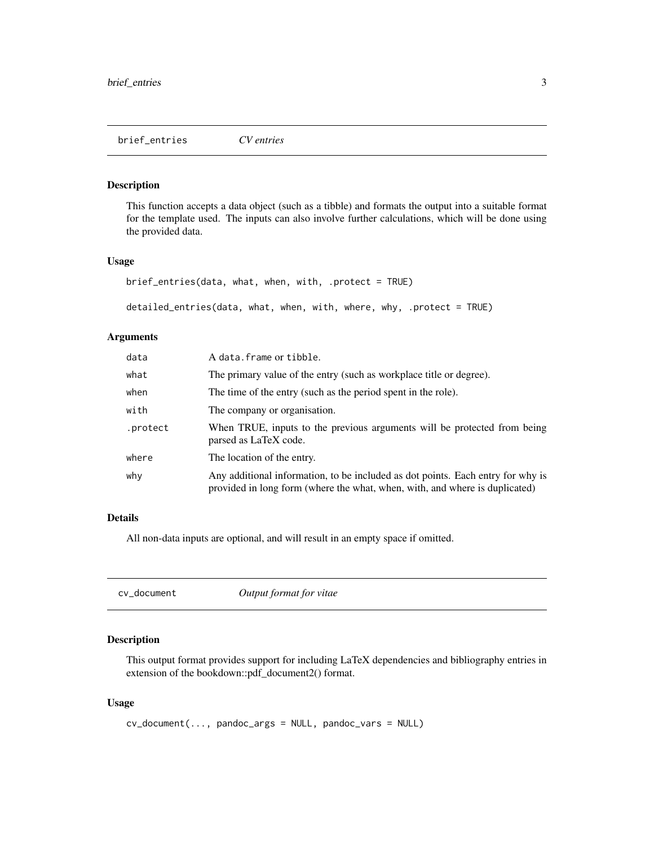#### <span id="page-2-0"></span>Description

This function accepts a data object (such as a tibble) and formats the output into a suitable format for the template used. The inputs can also involve further calculations, which will be done using the provided data.

#### Usage

```
brief_entries(data, what, when, with, .protect = TRUE)
```
detailed\_entries(data, what, when, with, where, why, .protect = TRUE)

#### Arguments

| data     | A data. frame or tibble.                                                                                                                                       |
|----------|----------------------------------------------------------------------------------------------------------------------------------------------------------------|
| what     | The primary value of the entry (such as workplace title or degree).                                                                                            |
| when     | The time of the entry (such as the period spent in the role).                                                                                                  |
| with     | The company or organisation.                                                                                                                                   |
| .protect | When TRUE, inputs to the previous arguments will be protected from being<br>parsed as LaTeX code.                                                              |
| where    | The location of the entry.                                                                                                                                     |
| why      | Any additional information, to be included as dot points. Each entry for why is<br>provided in long form (where the what, when, with, and where is duplicated) |

#### Details

All non-data inputs are optional, and will result in an empty space if omitted.

<span id="page-2-1"></span>

| cv_document | Output format for vitae |
|-------------|-------------------------|
|-------------|-------------------------|

#### Description

This output format provides support for including LaTeX dependencies and bibliography entries in extension of the bookdown::pdf\_document2() format.

#### Usage

```
cv_document(..., pandoc_args = NULL, pandoc_vars = NULL)
```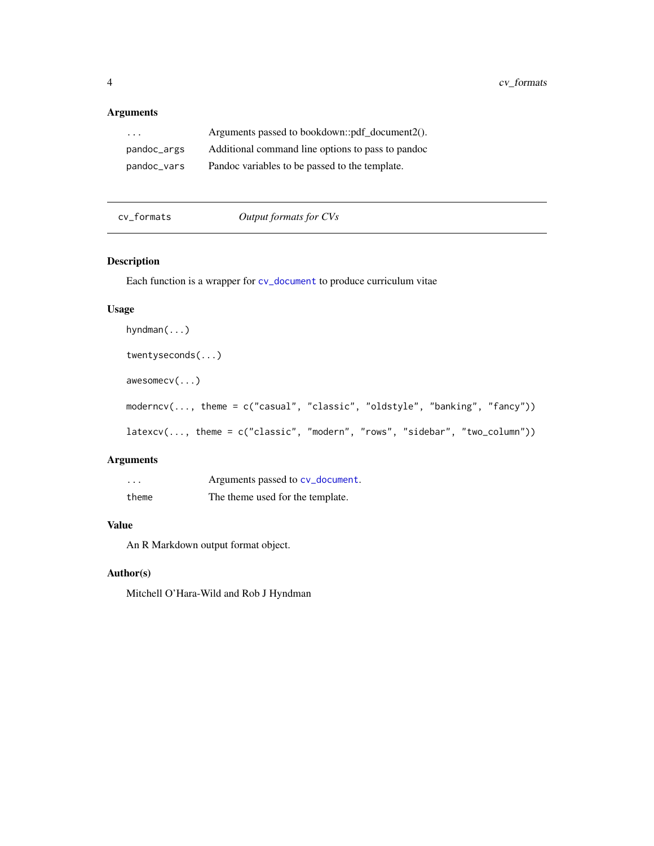#### <span id="page-3-0"></span>Arguments

| $\cdot$     | Arguments passed to bookdown::pdf_document2().    |
|-------------|---------------------------------------------------|
| pandoc_args | Additional command line options to pass to pandoc |
| pandoc_vars | Pandoc variables to be passed to the template.    |

cv\_formats *Output formats for CVs*

#### Description

Each function is a wrapper for [cv\\_document](#page-2-1) to produce curriculum vitae

#### Usage

```
hyndman(...)
twentyseconds(...)
awesomecv(...)
moderncv(..., theme = c("casual", "classic", "oldstyle", "banking", "fancy"))
latexcv(..., theme = c("classic", "modern", "rows", "sidebar", "two_column"))
```
#### Arguments

| $\cdots$ | Arguments passed to cv_document. |
|----------|----------------------------------|
| theme    | The theme used for the template. |

#### Value

An R Markdown output format object.

#### Author(s)

Mitchell O'Hara-Wild and Rob J Hyndman